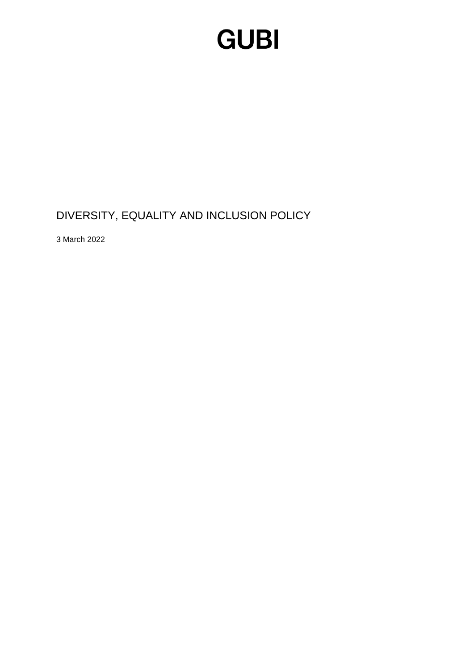### **GUBI**

DIVERSITY, EQUALITY AND INCLUSION POLICY

3 March 2022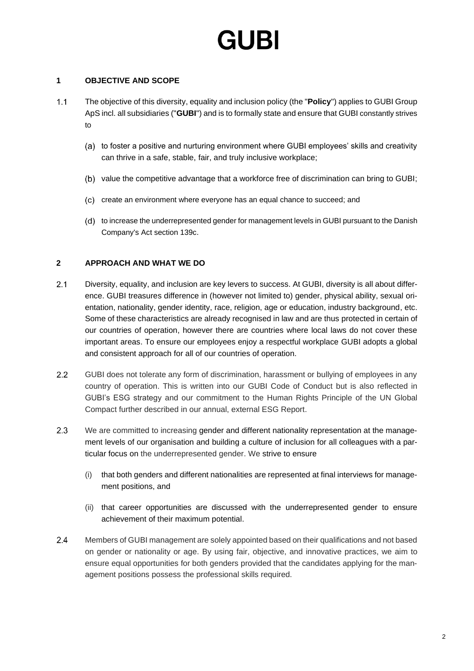# GURI

### **1 OBJECTIVE AND SCOPE**

- $1.1$ The objective of this diversity, equality and inclusion policy (the "**Policy**") applies to GUBI Group ApS incl. all subsidiaries ("**GUBI**") and is to formally state and ensure that GUBI constantly strives to
	- (a) to foster a positive and nurturing environment where GUBI employees' skills and creativity can thrive in a safe, stable, fair, and truly inclusive workplace;
	- (b) value the competitive advantage that a workforce free of discrimination can bring to GUBI;
	- (c) create an environment where everyone has an equal chance to succeed; and
	- (d) to increase the underrepresented gender for management levels in GUBI pursuant to the Danish Company's Act section 139c.

### **2 APPROACH AND WHAT WE DO**

- $2.1$ Diversity, equality, and inclusion are key levers to success. At GUBI, diversity is all about difference. GUBI treasures difference in (however not limited to) gender, physical ability, sexual orientation, nationality, gender identity, race, religion, age or education, industry background, etc. Some of these characteristics are already recognised in law and are thus protected in certain of our countries of operation, however there are countries where local laws do not cover these important areas. To ensure our employees enjoy a respectful workplace GUBI adopts a global and consistent approach for all of our countries of operation.
- $2.2$ GUBI does not tolerate any form of discrimination, harassment or bullying of employees in any country of operation. This is written into our GUBI Code of Conduct but is also reflected in GUBI's ESG strategy and our commitment to the Human Rights Principle of the UN Global Compact further described in our annual, external ESG Report.
- $2.3$ We are committed to increasing gender and different nationality representation at the management levels of our organisation and building a culture of inclusion for all colleagues with a particular focus on the underrepresented gender. We strive to ensure
	- (i) that both genders and different nationalities are represented at final interviews for management positions, and
	- (ii) that career opportunities are discussed with the underrepresented gender to ensure achievement of their maximum potential.
- $2.4$ Members of GUBI management are solely appointed based on their qualifications and not based on gender or nationality or age. By using fair, objective, and innovative practices, we aim to ensure equal opportunities for both genders provided that the candidates applying for the management positions possess the professional skills required.